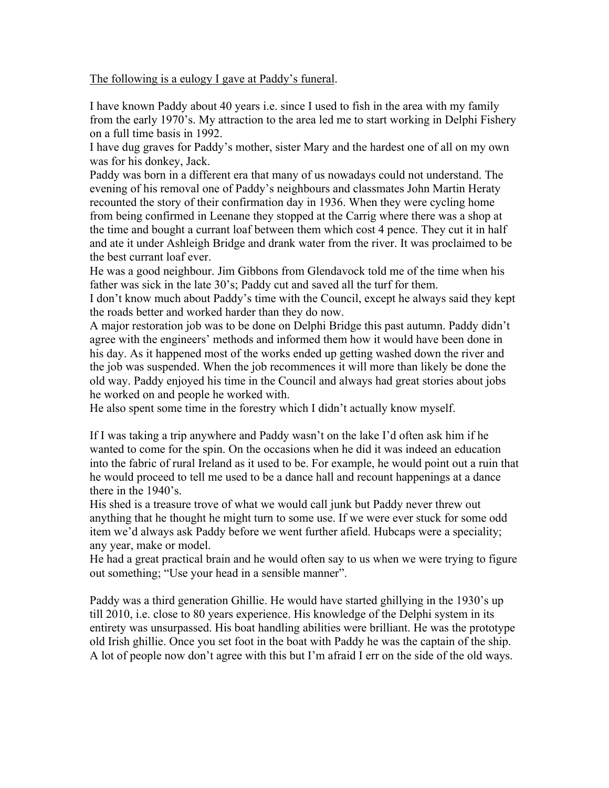The following is a eulogy I gave at Paddy's funeral.

I have known Paddy about 40 years i.e. since I used to fish in the area with my family from the early 1970's. My attraction to the area led me to start working in Delphi Fishery on a full time basis in 1992.

I have dug graves for Paddy's mother, sister Mary and the hardest one of all on my own was for his donkey, Jack.

Paddy was born in a different era that many of us nowadays could not understand. The evening of his removal one of Paddy's neighbours and classmates John Martin Heraty recounted the story of their confirmation day in 1936. When they were cycling home from being confirmed in Leenane they stopped at the Carrig where there was a shop at the time and bought a currant loaf between them which cost 4 pence. They cut it in half and ate it under Ashleigh Bridge and drank water from the river. It was proclaimed to be the best currant loaf ever.

He was a good neighbour. Jim Gibbons from Glendavock told me of the time when his father was sick in the late 30's; Paddy cut and saved all the turf for them.

I don't know much about Paddy's time with the Council, except he always said they kept the roads better and worked harder than they do now.

A major restoration job was to be done on Delphi Bridge this past autumn. Paddy didn't agree with the engineers' methods and informed them how it would have been done in his day. As it happened most of the works ended up getting washed down the river and the job was suspended. When the job recommences it will more than likely be done the old way. Paddy enjoyed his time in the Council and always had great stories about jobs he worked on and people he worked with.

He also spent some time in the forestry which I didn't actually know myself.

If I was taking a trip anywhere and Paddy wasn't on the lake I'd often ask him if he wanted to come for the spin. On the occasions when he did it was indeed an education into the fabric of rural Ireland as it used to be. For example, he would point out a ruin that he would proceed to tell me used to be a dance hall and recount happenings at a dance there in the 1940's.

His shed is a treasure trove of what we would call junk but Paddy never threw out anything that he thought he might turn to some use. If we were ever stuck for some odd item we'd always ask Paddy before we went further afield. Hubcaps were a speciality; any year, make or model.

He had a great practical brain and he would often say to us when we were trying to figure out something; "Use your head in a sensible manner".

Paddy was a third generation Ghillie. He would have started ghillying in the 1930's up till 2010, i.e. close to 80 years experience. His knowledge of the Delphi system in its entirety was unsurpassed. His boat handling abilities were brilliant. He was the prototype old Irish ghillie. Once you set foot in the boat with Paddy he was the captain of the ship. A lot of people now don't agree with this but I'm afraid I err on the side of the old ways.